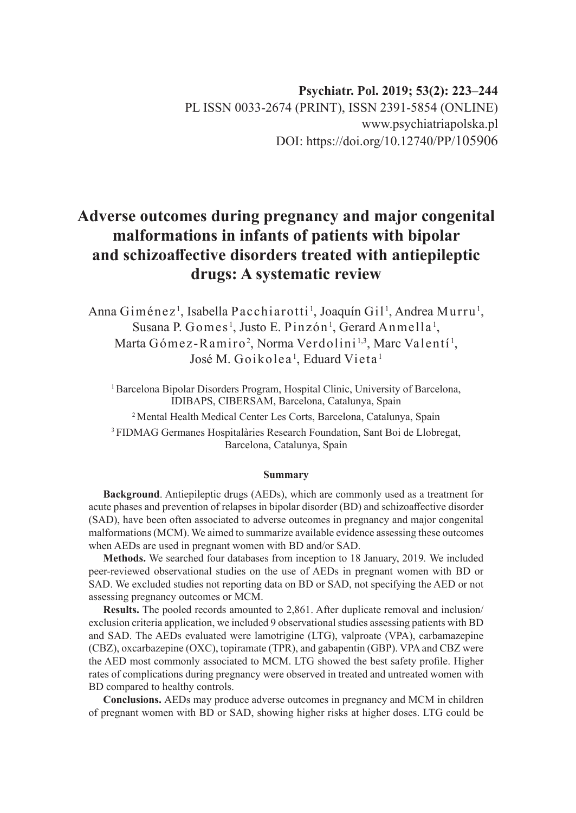# **Psychiatr. Pol. 2019; 53(2): 223–244** PL ISSN 0033-2674 (PRINT), ISSN 2391-5854 (ONLINE) www.psychiatriapolska.pl DOI: https://doi.org/10.12740/PP/105906

# **Adverse outcomes during pregnancy and major congenital malformations in infants of patients with bipolar and schizoaffective disorders treated with antiepileptic drugs: A systematic review**

Anna Giménez<sup>1</sup>, Isabella Pacchiarotti<sup>1</sup>, Joaquín Gil<sup>1</sup>, Andrea Murru<sup>1</sup>, Susana P. Gomes<sup>1</sup>, Justo E. Pinzón<sup>1</sup>, Gerard Anmella<sup>1</sup>, Marta Gómez-Ramiro<sup>2</sup>, Norma Verdolini<sup>1,3</sup>, Marc Valentí<sup>1</sup>, José M. Goikolea<sup>1</sup>, Eduard Vieta <sup>1</sup>

<sup>1</sup> Barcelona Bipolar Disorders Program, Hospital Clinic, University of Barcelona, IDIBAPS, CIBERSAM, Barcelona, Catalunya, Spain

2 Mental Health Medical Center Les Corts, Barcelona, Catalunya, Spain

3 FIDMAG Germanes Hospitalàries Research Foundation, Sant Boi de Llobregat, Barcelona, Catalunya, Spain

#### **Summary**

**Background**. Antiepileptic drugs (AEDs), which are commonly used as a treatment for acute phases and prevention of relapses in bipolar disorder (BD) and schizoaffective disorder (SAD), have been often associated to adverse outcomes in pregnancy and major congenital malformations (MCM). We aimed to summarize available evidence assessing these outcomes when AEDs are used in pregnant women with BD and/or SAD.

**Methods.** We searched four databases from inception to 18 January, 2019*.* We included peer-reviewed observational studies on the use of AEDs in pregnant women with BD or SAD. We excluded studies not reporting data on BD or SAD, not specifying the AED or not assessing pregnancy outcomes or MCM.

**Results.** The pooled records amounted to 2,861. After duplicate removal and inclusion/ exclusion criteria application, we included 9 observational studies assessing patients with BD and SAD. The AEDs evaluated were lamotrigine (LTG), valproate (VPA), carbamazepine (CBZ), oxcarbazepine (OXC), topiramate (TPR), and gabapentin (GBP). VPA and CBZ were the AED most commonly associated to MCM. LTG showed the best safety profile. Higher rates of complications during pregnancy were observed in treated and untreated women with BD compared to healthy controls.

**Conclusions.** AEDs may produce adverse outcomes in pregnancy and MCM in children of pregnant women with BD or SAD, showing higher risks at higher doses. LTG could be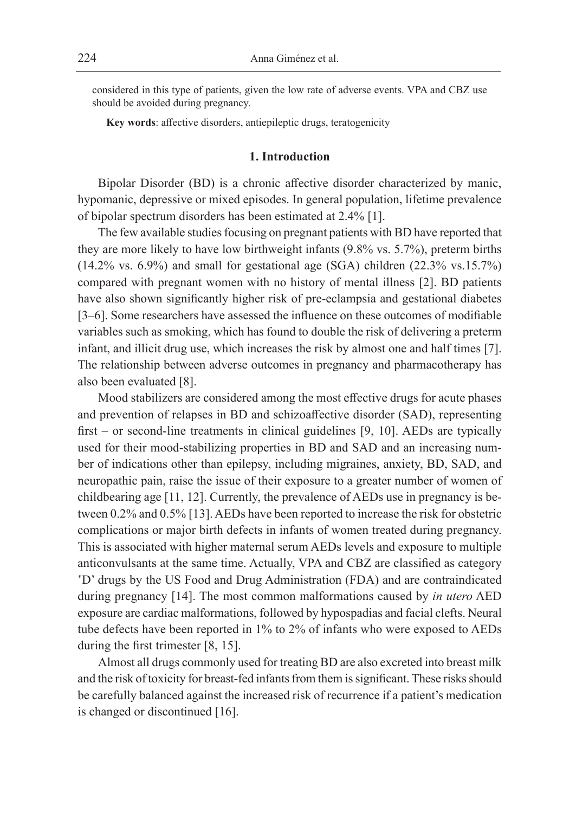considered in this type of patients, given the low rate of adverse events. VPA and CBZ use should be avoided during pregnancy.

**Key words**: affective disorders, antiepileptic drugs, teratogenicity

### **1. Introduction**

Bipolar Disorder (BD) is a chronic affective disorder characterized by manic, hypomanic, depressive or mixed episodes. In general population, lifetime prevalence of bipolar spectrum disorders has been estimated at 2.4% [1].

The few available studies focusing on pregnant patients with BD have reported that they are more likely to have low birthweight infants (9.8% vs. 5.7%), preterm births (14.2% vs. 6.9%) and small for gestational age (SGA) children (22.3% vs.15.7%) compared with pregnant women with no history of mental illness [2]. BD patients have also shown significantly higher risk of pre-eclampsia and gestational diabetes [3–6]. Some researchers have assessed the influence on these outcomes of modifiable variables such as smoking, which has found to double the risk of delivering a preterm infant, and illicit drug use, which increases the risk by almost one and half times [7]. The relationship between adverse outcomes in pregnancy and pharmacotherapy has also been evaluated [8].

Mood stabilizers are considered among the most effective drugs for acute phases and prevention of relapses in BD and schizoaffective disorder (SAD), representing first – or second-line treatments in clinical guidelines [9, 10]. AEDs are typically used for their mood-stabilizing properties in BD and SAD and an increasing number of indications other than epilepsy, including migraines, anxiety, BD, SAD, and neuropathic pain, raise the issue of their exposure to a greater number of women of childbearing age [11, 12]. Currently, the prevalence of AEDs use in pregnancy is between 0.2% and 0.5% [13]. AEDs have been reported to increase the risk for obstetric complications or major birth defects in infants of women treated during pregnancy. This is associated with higher maternal serum AEDs levels and exposure to multiple anticonvulsants at the same time. Actually, VPA and CBZ are classified as category 'D' drugs by the US Food and Drug Administration (FDA) and are contraindicated during pregnancy [14]. The most common malformations caused by *in utero* AED exposure are cardiac malformations, followed by hypospadias and facial clefts. Neural tube defects have been reported in 1% to 2% of infants who were exposed to AEDs during the first trimester [8, 15].

Almost all drugs commonly used for treating BD are also excreted into breast milk and the risk of toxicity for breast-fed infants from them is significant. These risks should be carefully balanced against the increased risk of recurrence if a patient's medication is changed or discontinued [16].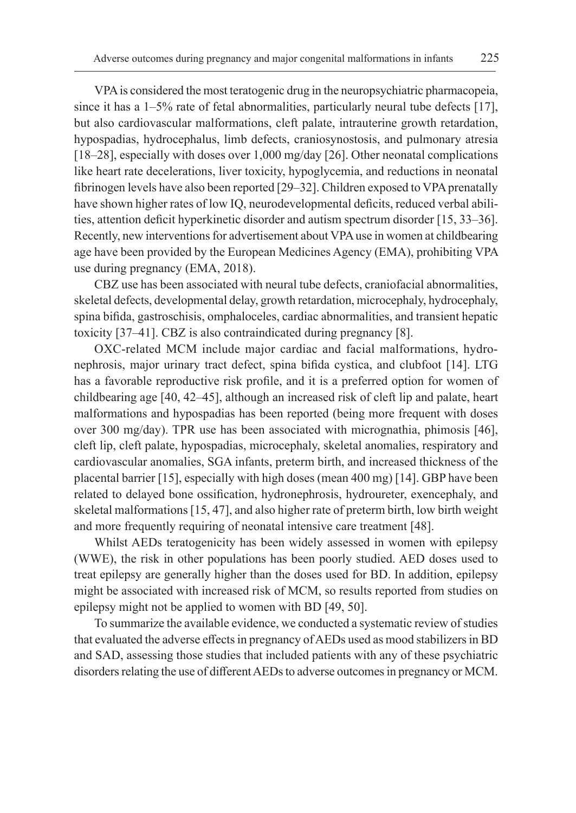VPA is considered the most teratogenic drug in the neuropsychiatric pharmacopeia, since it has a 1–5% rate of fetal abnormalities, particularly neural tube defects [17], but also cardiovascular malformations, cleft palate, intrauterine growth retardation, hypospadias, hydrocephalus, limb defects, craniosynostosis, and pulmonary atresia [18–28], especially with doses over 1,000 mg/day [26]. Other neonatal complications like heart rate decelerations, liver toxicity, hypoglycemia, and reductions in neonatal fibrinogen levels have also been reported [29–32]. Children exposed to VPA prenatally have shown higher rates of low IQ, neurodevelopmental deficits, reduced verbal abilities, attention deficit hyperkinetic disorder and autism spectrum disorder [15, 33–36]. Recently, new interventions for advertisement about VPA use in women at childbearing age have been provided by the European Medicines Agency (EMA), prohibiting VPA use during pregnancy (EMA, 2018).

CBZ use has been associated with neural tube defects, craniofacial abnormalities, skeletal defects, developmental delay, growth retardation, microcephaly, hydrocephaly, spina bifida, gastroschisis, omphaloceles, cardiac abnormalities, and transient hepatic toxicity [37–41]. CBZ is also contraindicated during pregnancy [8].

OXC-related MCM include major cardiac and facial malformations, hydronephrosis, major urinary tract defect, spina bifida cystica, and clubfoot [14]. LTG has a favorable reproductive risk profile, and it is a preferred option for women of childbearing age [40, 42–45], although an increased risk of cleft lip and palate, heart malformations and hypospadias has been reported (being more frequent with doses over 300 mg/day). TPR use has been associated with micrognathia, phimosis [46], cleft lip, cleft palate, hypospadias, microcephaly, skeletal anomalies, respiratory and cardiovascular anomalies, SGA infants, preterm birth, and increased thickness of the placental barrier [15], especially with high doses (mean 400 mg) [14]. GBP have been related to delayed bone ossification, hydronephrosis, hydroureter, exencephaly, and skeletal malformations [15, 47], and also higher rate of preterm birth, low birth weight and more frequently requiring of neonatal intensive care treatment [48].

Whilst AEDs teratogenicity has been widely assessed in women with epilepsy (WWE), the risk in other populations has been poorly studied. AED doses used to treat epilepsy are generally higher than the doses used for BD. In addition, epilepsy might be associated with increased risk of MCM, so results reported from studies on epilepsy might not be applied to women with BD [49, 50].

To summarize the available evidence, we conducted a systematic review of studies that evaluated the adverse effects in pregnancy of AEDs used as mood stabilizers in BD and SAD, assessing those studies that included patients with any of these psychiatric disorders relating the use of different AEDs to adverse outcomes in pregnancy or MCM.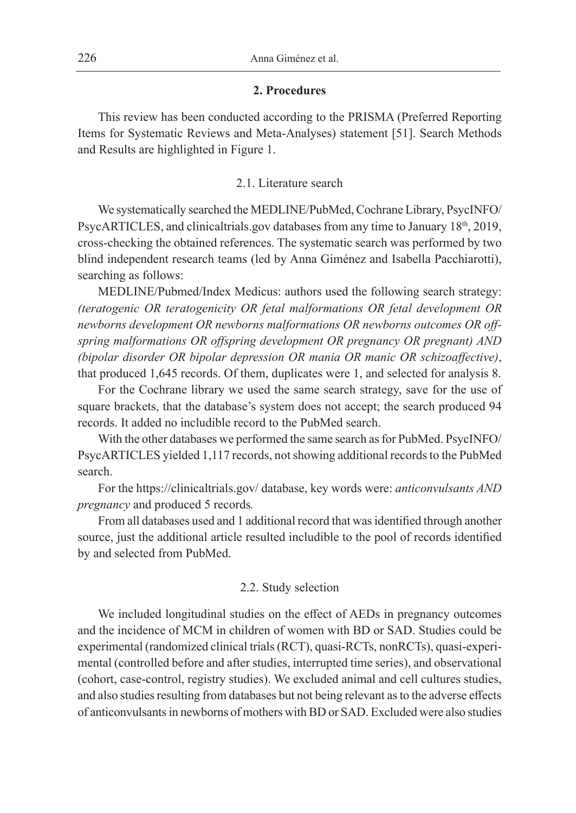#### **2. Procedures**

This review has been conducted according to the PRISMA (Preferred Reporting Items for Systematic Reviews and Meta-Analyses) statement [51]. Search Methods and Results are highlighted in Figure 1.

#### 2.1. Literature search

We systematically searched the MEDLINE/PubMed, Cochrane Library, PsycINFO/ PsycARTICLES, and clinicaltrials.gov databases from any time to January  $18<sup>th</sup>$ , 2019, cross-checking the obtained references. The systematic search was performed by two blind independent research teams (led by Anna Giménez and Isabella Pacchiarotti), searching as follows:

MEDLINE/Pubmed/Index Medicus: authors used the following search strategy: *(teratogenic OR teratogenicity OR fetal malformations OR fetal development OR newborns development OR newborns malformations OR newborns outcomes OR offspring malformations OR offspring development OR pregnancy OR pregnant) AND (bipolar disorder OR bipolar depression OR mania OR manic OR schizoaffective)*, that produced 1,645 records. Of them, duplicates were 1, and selected for analysis 8.

For the Cochrane library we used the same search strategy, save for the use of square brackets, that the database's system does not accept; the search produced 94 records. It added no includible record to the PubMed search.

With the other databases we performed the same search as for PubMed. PsycINFO/ PsycARTICLES yielded 1,117 records, not showing additional records to the PubMed search.

For the https://clinicaltrials.gov/ database, key words were: *anticonvulsants AND pregnancy* and produced 5 records*.*

From all databases used and 1 additional record that was identified through another source, just the additional article resulted includible to the pool of records identified by and selected from PubMed.

# 2.2. Study selection

We included longitudinal studies on the effect of AEDs in pregnancy outcomes and the incidence of MCM in children of women with BD or SAD. Studies could be experimental (randomized clinical trials (RCT), quasi-RCTs, nonRCTs), quasi-experimental (controlled before and after studies, interrupted time series), and observational (cohort, case-control, registry studies). We excluded animal and cell cultures studies, and also studies resulting from databases but not being relevant as to the adverse effects of anticonvulsants in newborns of mothers with BD or SAD. Excluded were also studies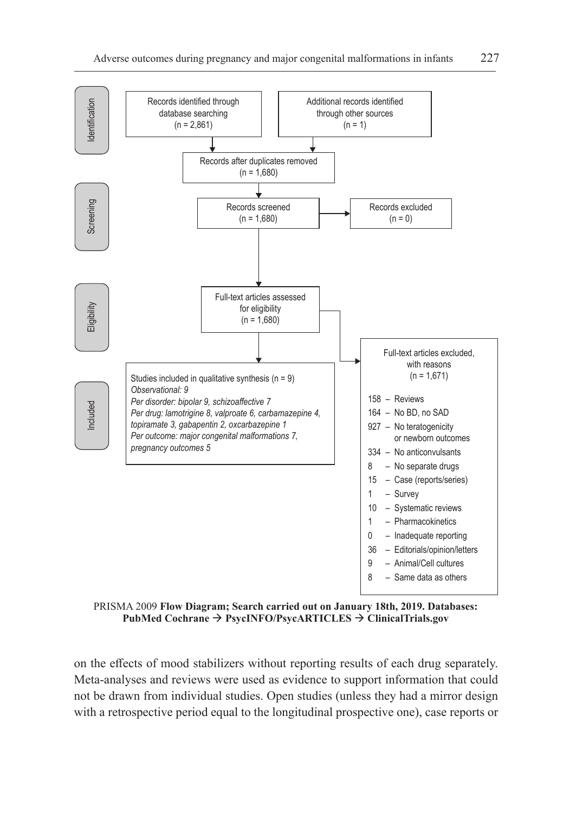

PRISMA 2009 **Flow Diagram; Search carried out on January 18th, 2019. Databases: PubMed Cochrane PsycINFO/PsycARTICLES ClinicalTrials.gov**

on the effects of mood stabilizers without reporting results of each drug separately. Meta-analyses and reviews were used as evidence to support information that could not be drawn from individual studies. Open studies (unless they had a mirror design with a retrospective period equal to the longitudinal prospective one), case reports or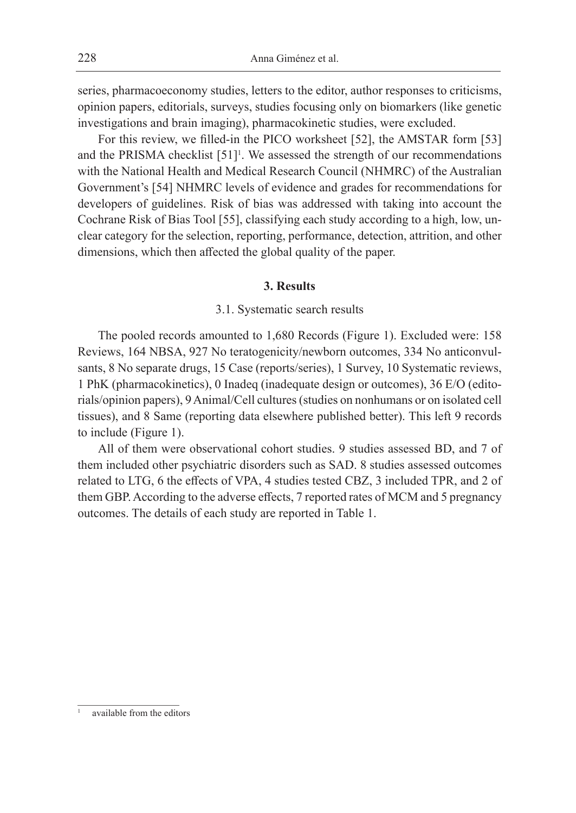series, pharmacoeconomy studies, letters to the editor, author responses to criticisms, opinion papers, editorials, surveys, studies focusing only on biomarkers (like genetic investigations and brain imaging), pharmacokinetic studies, were excluded.

For this review, we filled-in the PICO worksheet [52], the AMSTAR form [53] and the PRISMA checklist  $[51]$ <sup>1</sup>. We assessed the strength of our recommendations with the National Health and Medical Research Council (NHMRC) of the Australian Government's [54] NHMRC levels of evidence and grades for recommendations for developers of guidelines. Risk of bias was addressed with taking into account the Cochrane Risk of Bias Tool [55], classifying each study according to a high, low, unclear category for the selection, reporting, performance, detection, attrition, and other dimensions, which then affected the global quality of the paper.

#### **3. Results**

#### 3.1. Systematic search results

The pooled records amounted to 1,680 Records (Figure 1). Excluded were: 158 Reviews, 164 NBSA, 927 No teratogenicity/newborn outcomes, 334 No anticonvulsants, 8 No separate drugs, 15 Case (reports/series), 1 Survey, 10 Systematic reviews, 1 PhK (pharmacokinetics), 0 Inadeq (inadequate design or outcomes), 36 E/O (editorials/opinion papers), 9 Animal/Cell cultures (studies on nonhumans or on isolated cell tissues), and 8 Same (reporting data elsewhere published better). This left 9 records to include (Figure 1).

All of them were observational cohort studies. 9 studies assessed BD, and 7 of them included other psychiatric disorders such as SAD. 8 studies assessed outcomes related to LTG, 6 the effects of VPA, 4 studies tested CBZ, 3 included TPR, and 2 of them GBP. According to the adverse effects, 7 reported rates of MCM and 5 pregnancy outcomes. The details of each study are reported in Table 1.

available from the editors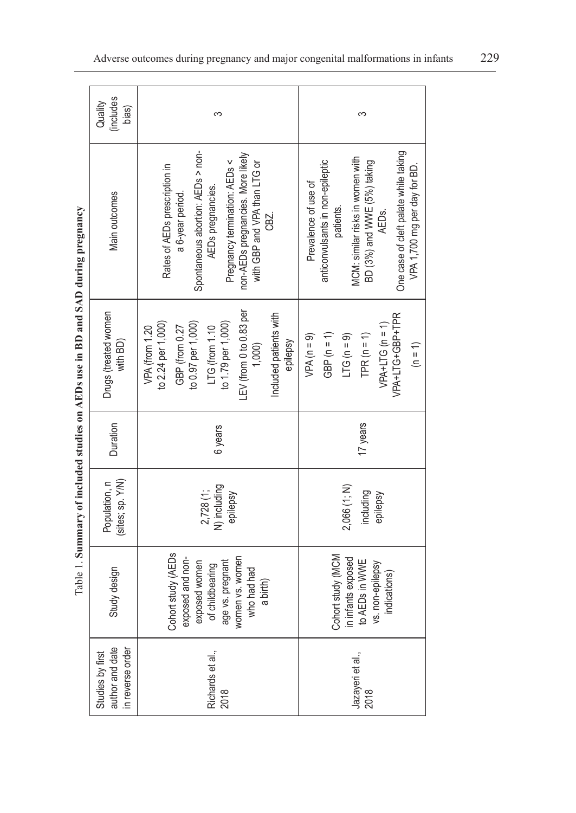| $-$                                 |
|-------------------------------------|
| $\frac{1}{2}$                       |
|                                     |
| The min and in<br><b>San DD</b> and |
|                                     |
|                                     |
| $\frac{1}{2}$                       |
| í<br>ł                              |
|                                     |
| $\overline{a}$                      |
|                                     |
|                                     |
| t und                               |
|                                     |
| ļ                                   |
|                                     |
| $1a$ ble<br>ŀ                       |

| (includes<br>Quality<br>bias)                           | က                                                                                                                                                                                                                         | က                                                                                                                                                                                                                          |
|---------------------------------------------------------|---------------------------------------------------------------------------------------------------------------------------------------------------------------------------------------------------------------------------|----------------------------------------------------------------------------------------------------------------------------------------------------------------------------------------------------------------------------|
| Main outcomes                                           | Spontaneous abortion: AEDs > non-<br>non-AEDs pregnancies. More likely<br>Pregnancy termination: AEDs <<br>with GBP and VPA than LTG or<br>Rates of AEDs prescription in<br>AEDs pregnancies.<br>a 6-year period.<br>CBZ. | One case of cleft palate while taking<br>MCM: similar risks in women with<br>BD (3%) and WWE (5%) taking<br>AEDs.<br>anticonvulsants in non-epileptic<br>VPA 1,700 mg per day for BD.<br>Prevalence of use of<br>patients. |
| Drugs (treated women<br>with BD)                        | LEV (from 0 to 0.83 per<br>Included patients with<br>to 2.24 per 1,000)<br>to 1.79 per 1,000)<br>to 0.97 per 1,000)<br>GBP (from 0.27<br>LTG (from 1.10<br>VPA (from 1.20<br>1,000<br>epilepsy                            | VPA+LTG+GBP+TPR<br>$VPA+LTG (n = 1)$<br>GBP $(n = 1)$<br>TPR $(n = 1)$<br>$LTG(n = 9)$<br>$VPA(n = 9)$<br>$(n = 1)$                                                                                                        |
| Duration                                                | 6 years                                                                                                                                                                                                                   | 17 years                                                                                                                                                                                                                   |
| (sites; sp. Y/N)<br>Population, n                       | N) including<br>$2,728$ (1;<br>epilepsy                                                                                                                                                                                   | 2,066 (1; N)<br>including<br>epilepsy                                                                                                                                                                                      |
| Study design                                            | Cohort study (AEDs<br>exposed and non-<br>exposed women<br>of childbearing<br>age vs. pregnant<br>women vs. women<br>who had had<br>a birth)                                                                              | Cohort study (MCM<br>in infants exposed<br>to AEDs in WWE<br>vs. non-epilepsy<br>indications)                                                                                                                              |
| author and date<br>in reverse order<br>Studies by first | Richards et al.,<br>2018                                                                                                                                                                                                  | Jazayeri et al.,<br>2018                                                                                                                                                                                                   |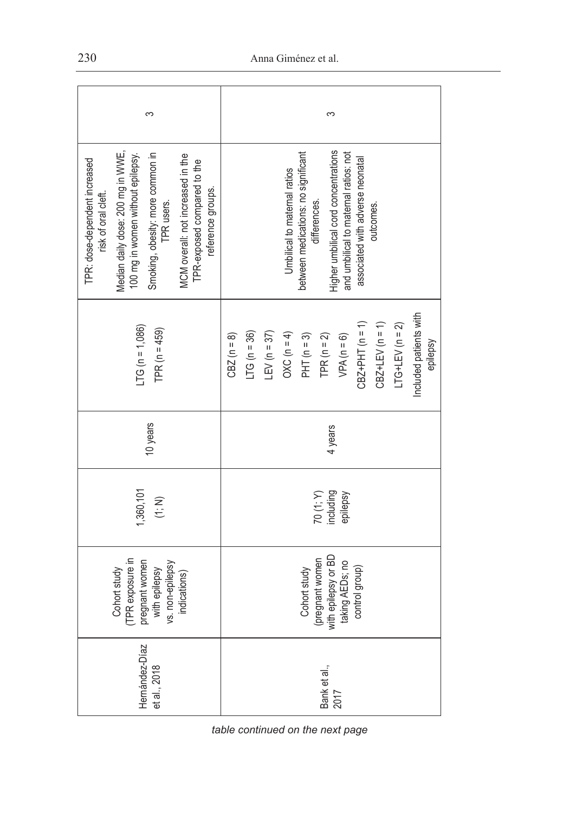| ς                                                                                                                                                                                                                                                                         | ς                                                                                                                                                                                                                            |  |  |  |
|---------------------------------------------------------------------------------------------------------------------------------------------------------------------------------------------------------------------------------------------------------------------------|------------------------------------------------------------------------------------------------------------------------------------------------------------------------------------------------------------------------------|--|--|--|
| Median daily dose: 200 mg in WWE,<br>Smoking, obesity: more common in<br>100 mg in women without epilepsy.<br>MCM overall: not increased in the<br>TPR: dose-dependent increased<br>TPR-exposed compared to the<br>reference groups.<br>risk of oral cleft.<br>TPR users. | Higher umbilical cord concentrations<br>between medications: no significant<br>and umbilical to maternal ratios: not<br>associated with adverse neonatal<br>Umbilical to maternal ratios<br>differences.<br>outcomes.        |  |  |  |
| $LTG (n = 1,086)$<br>TPR $(n = 459)$                                                                                                                                                                                                                                      | Included patients with<br>$LTG+LEV (n = 2)$<br>$CBZ+PHT (n = 1)$<br>$CBZ + LEV (n = 1)$<br>$LTG(n = 36)$<br>$LEV(n = 37)$<br>OXC ( $n = 4$ )<br>PHT ( $n = 3$ )<br>TPR $(n = 2)$<br>$VPA(n = 6)$<br>$CBZ(n = 8)$<br>epilepsy |  |  |  |
| 10 years                                                                                                                                                                                                                                                                  | 4 years                                                                                                                                                                                                                      |  |  |  |
| 1,360,101<br>$(1;N)$                                                                                                                                                                                                                                                      | 70 $(1; Y)$<br>including<br>epilepsy                                                                                                                                                                                         |  |  |  |
| PR exposure in<br>pregnant women<br>s. non-epilepsy<br>with epilepsy<br>Cohort study<br>indications)                                                                                                                                                                      | (pregnant women<br>with epilepsy or BD<br>taking AEDs; no<br>control group)<br>Cohort study                                                                                                                                  |  |  |  |
| Hernández-Díaz<br>et al., 2018                                                                                                                                                                                                                                            | Bank et al.,<br>2017                                                                                                                                                                                                         |  |  |  |

*table continued on the next page*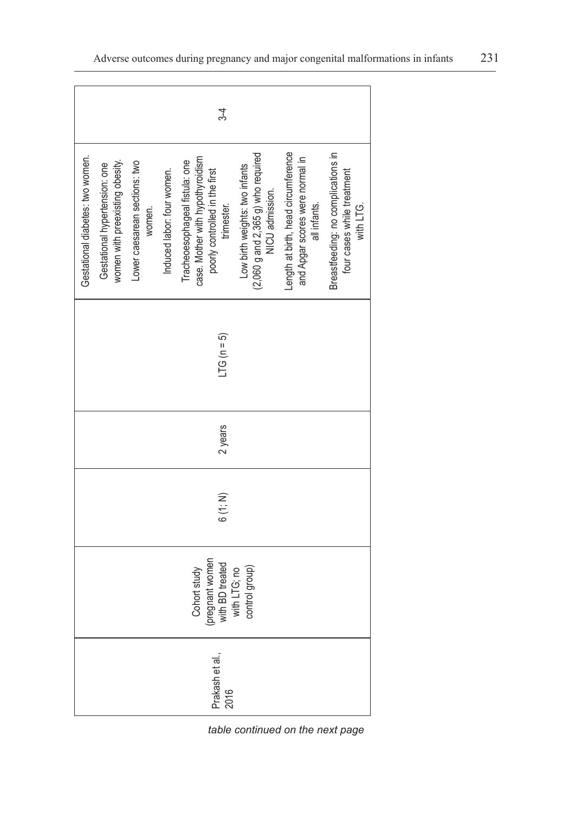|                                                                                         |                                                                  |                                         |                            | $3 - 4$                                                                                                            |                                                                                             |                                                                                        |                                                                               |
|-----------------------------------------------------------------------------------------|------------------------------------------------------------------|-----------------------------------------|----------------------------|--------------------------------------------------------------------------------------------------------------------|---------------------------------------------------------------------------------------------|----------------------------------------------------------------------------------------|-------------------------------------------------------------------------------|
| Gestational diabetes: two women.                                                        | women with preexisting obesity.<br>Gestational hypertension: one | Lower caesarean sections: two<br>women. | Induced labor: four women. | case. Mother with hypothyroidism<br>Tracheoesophageal fistula: one<br>poorly controlled in the first<br>trimester. | $(2,060$ g and $2,365$ g) who required<br>Low birth weights: two infants<br>NICU admission. | Length at birth, head circumference<br>and Apgar scores were normal in<br>all infants. | Breastfeeding: no complications in<br>four cases while treatment<br>with LTG. |
|                                                                                         |                                                                  |                                         |                            | $TCG (n = 5)$                                                                                                      |                                                                                             |                                                                                        |                                                                               |
|                                                                                         | 2 years                                                          |                                         |                            |                                                                                                                    |                                                                                             |                                                                                        |                                                                               |
| 6(1; N)                                                                                 |                                                                  |                                         |                            |                                                                                                                    |                                                                                             |                                                                                        |                                                                               |
| regnant women<br>with BD treated<br>Cohort study<br>control group)<br>with LTG; no<br>흔 |                                                                  |                                         |                            |                                                                                                                    |                                                                                             |                                                                                        |                                                                               |
|                                                                                         | Prakash et al.,<br>2016                                          |                                         |                            |                                                                                                                    |                                                                                             |                                                                                        |                                                                               |

table continued on the next page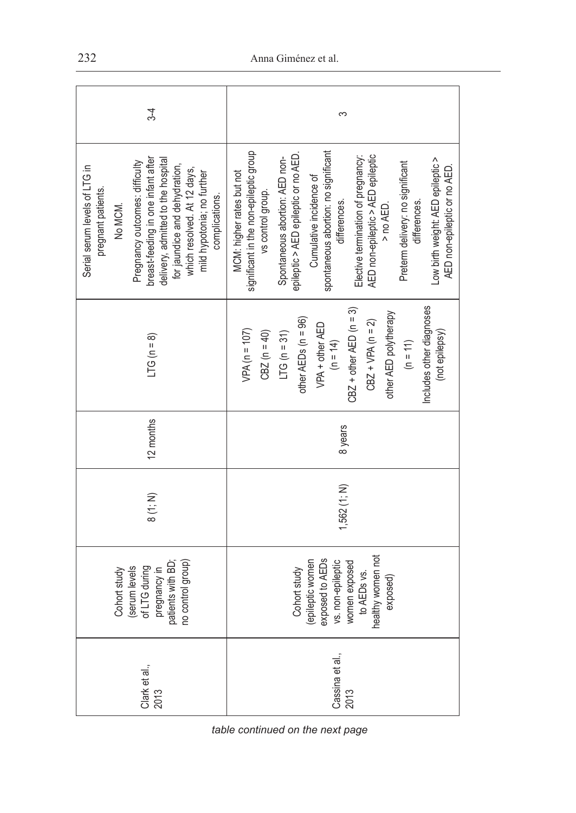| $3-4$                                                                                                                                                                                                                                                                                        | S                                                                                                                                                                                                                                                                                                                                                                                                                                                                     |  |  |  |  |
|----------------------------------------------------------------------------------------------------------------------------------------------------------------------------------------------------------------------------------------------------------------------------------------------|-----------------------------------------------------------------------------------------------------------------------------------------------------------------------------------------------------------------------------------------------------------------------------------------------------------------------------------------------------------------------------------------------------------------------------------------------------------------------|--|--|--|--|
| breast-feeding in one infant after<br>delivery, admitted to the hospital<br>Pregnancy outcomes: difficulty<br>for jaundice and dehydration,<br>Serial serum levels of LTG in<br>which resolved. At 12 days,<br>mild hypotonia; no further<br>pregnant patients.<br>complications.<br>No MCM. | significant in the non-epileptic group<br>spontaneous abortion: no significant<br>epileptic > AED epileptic or no AED<br>AED non-epileptic > AED epileptic<br>Elective termination of pregnancy:<br>Spontaneous abortion: AED non-<br>Low birth weight: AED epileptic ><br>Preterm delivery: no significant<br>AED non-epileptic or no AED.<br>MCM: higher rates but not<br>Cumulative incidence of<br>vs control group.<br>differences.<br>differences.<br>> no AED. |  |  |  |  |
| $LTG(n = 8)$                                                                                                                                                                                                                                                                                 | Includes other diagnoses<br>$CBZ + other AED (n = 3)$<br>other AED polytherapy<br>other AEDs $(n = 96)$<br>$CBZ + VPA (n = 2)$<br>VPA + other AED<br>$VPA(n = 107)$<br>$C BZ (n = 40)$<br>(not epilepsy)<br>$LTG (n = 31)$<br>$(h = 11)$<br>$(n = 14)$                                                                                                                                                                                                                |  |  |  |  |
| 12 months                                                                                                                                                                                                                                                                                    | 8 years                                                                                                                                                                                                                                                                                                                                                                                                                                                               |  |  |  |  |
| 8(1; N)                                                                                                                                                                                                                                                                                      | $1,562$ $(1; N)$                                                                                                                                                                                                                                                                                                                                                                                                                                                      |  |  |  |  |
| patients with BD;<br>no control group)<br>of LTG during<br>(serum levels<br>pregnancy in<br>Cohort study                                                                                                                                                                                     | healthy women not<br>(epileptic women<br>exposed to AEDs<br>vs. non-epileptic<br>women exposed<br>Cohort study<br>to AEDs vs.<br>exposed)                                                                                                                                                                                                                                                                                                                             |  |  |  |  |
| Clark et al.,<br>2013                                                                                                                                                                                                                                                                        | Cassina et al.,<br>2013                                                                                                                                                                                                                                                                                                                                                                                                                                               |  |  |  |  |

*table continued on the next page*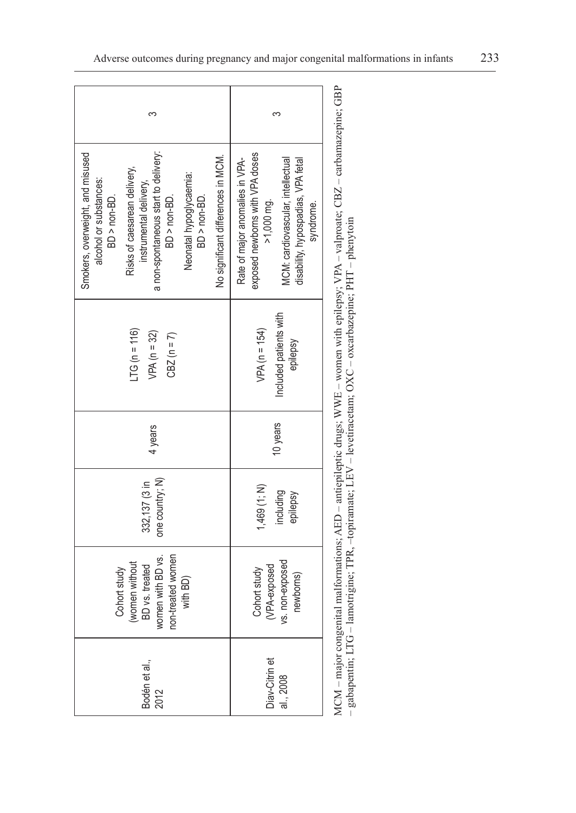| ∽                                                                                                                                                                                                                                                                             | ∾                                                                                                                                                                        |  |  |
|-------------------------------------------------------------------------------------------------------------------------------------------------------------------------------------------------------------------------------------------------------------------------------|--------------------------------------------------------------------------------------------------------------------------------------------------------------------------|--|--|
| a non-spontaneous start to delivery:<br>Smokers, overweight, and misused<br>No significant differences in MCM.<br>Risks of caesarean delivery,<br>Neonatal hypoglycaemia:<br>alcohol or substances:<br>instrumental delivery,<br>BD > non-BD.<br>BD > non-BD.<br>BD > non-BD. | exposed newborns with VPA doses<br>Rate of major anomalies in VPA-<br>MCM: cardiovascular, intellectual<br>disability, hypospadias, VPA fetal<br>>1,000 mg.<br>syndrome. |  |  |
| $TC = 116$<br>$VPA(n = 32)$<br>$CBZ(n = 7)$                                                                                                                                                                                                                                   | Included patients with<br>$VPA(n = 154)$<br>epilepsy                                                                                                                     |  |  |
| 4 years                                                                                                                                                                                                                                                                       | 10 years                                                                                                                                                                 |  |  |
| one country; N)<br>332,137 (3 in                                                                                                                                                                                                                                              | 1,469 (1; N)<br>including<br>epilepsy                                                                                                                                    |  |  |
| non-treated women<br>women with BD vs.<br>women without<br>BD vs. treated<br>Cohort study<br>with BD)                                                                                                                                                                         | vs. non-exposed<br>(VPA-exposed<br>Cohort study<br>newborns)                                                                                                             |  |  |
| Bodén et al.,<br>2012                                                                                                                                                                                                                                                         | Diav-Citrin et<br>al., 2008                                                                                                                                              |  |  |

MCM - major congenital malformations; AED - antiepileptic drugs; WWE - women with epilepsy; VPA - valproate; CBZ - carbamazepine; GBP MCM – major congenital malformations; AED – antiepileptic drugs; WWE – women with epilepsy; VPA – valproate; CBZ – carbamazepine; GBP - gabapentin; LTG - lamotrigine; TPR, -topiramate; LEV - levetiracetam; OXC - oxcarbazepine; PHT - phenytoin – gabapentin; LTG – lamotrigine; TPR, –topiramate; LEV – levetiracetam; OXC – oxcarbazepine; PHT – phenytoin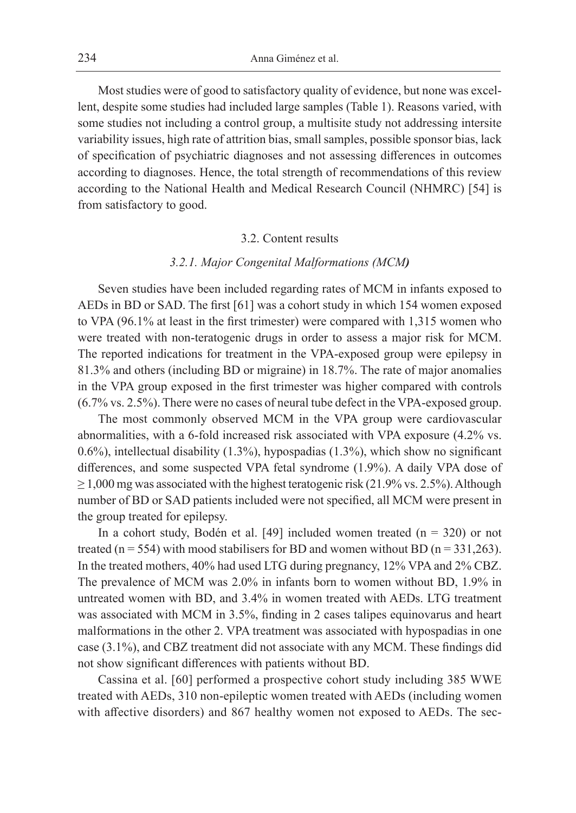Most studies were of good to satisfactory quality of evidence, but none was excellent, despite some studies had included large samples (Table 1). Reasons varied, with some studies not including a control group, a multisite study not addressing intersite variability issues, high rate of attrition bias, small samples, possible sponsor bias, lack of specification of psychiatric diagnoses and not assessing differences in outcomes according to diagnoses. Hence, the total strength of recommendations of this review according to the National Health and Medical Research Council (NHMRC) [54] is from satisfactory to good.

#### 3.2. Content results

# *3.2.1. Major Congenital Malformations (MCM)*

Seven studies have been included regarding rates of MCM in infants exposed to AEDs in BD or SAD. The first [61] was a cohort study in which 154 women exposed to VPA (96.1% at least in the first trimester) were compared with 1,315 women who were treated with non-teratogenic drugs in order to assess a major risk for MCM. The reported indications for treatment in the VPA-exposed group were epilepsy in 81.3% and others (including BD or migraine) in 18.7%. The rate of major anomalies in the VPA group exposed in the first trimester was higher compared with controls (6.7% vs. 2.5%). There were no cases of neural tube defect in the VPA-exposed group.

The most commonly observed MCM in the VPA group were cardiovascular abnormalities, with a 6-fold increased risk associated with VPA exposure (4.2% vs. 0.6%), intellectual disability (1.3%), hypospadias (1.3%), which show no significant differences, and some suspected VPA fetal syndrome (1.9%). A daily VPA dose of  $\geq$  1,000 mg was associated with the highest teratogenic risk (21.9% vs. 2.5%). Although number of BD or SAD patients included were not specified, all MCM were present in the group treated for epilepsy.

In a cohort study, Bodén et al. [49] included women treated  $(n = 320)$  or not treated ( $n = 554$ ) with mood stabilisers for BD and women without BD ( $n = 331,263$ ). In the treated mothers, 40% had used LTG during pregnancy, 12% VPA and 2% CBZ. The prevalence of MCM was 2.0% in infants born to women without BD, 1.9% in untreated women with BD, and 3.4% in women treated with AEDs. LTG treatment was associated with MCM in 3.5%, finding in 2 cases talipes equinovarus and heart malformations in the other 2. VPA treatment was associated with hypospadias in one case (3.1%), and CBZ treatment did not associate with any MCM. These findings did not show significant differences with patients without BD.

Cassina et al. [60] performed a prospective cohort study including 385 WWE treated with AEDs, 310 non-epileptic women treated with AEDs (including women with affective disorders) and 867 healthy women not exposed to AEDs. The sec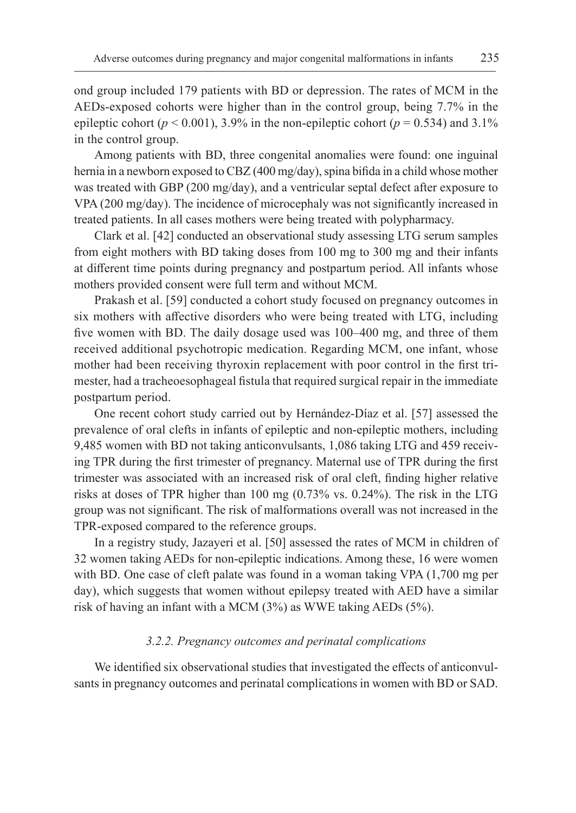ond group included 179 patients with BD or depression. The rates of MCM in the AEDs-exposed cohorts were higher than in the control group, being 7.7% in the epileptic cohort ( $p < 0.001$ ), 3.9% in the non-epileptic cohort ( $p = 0.534$ ) and 3.1% in the control group.

Among patients with BD, three congenital anomalies were found: one inguinal hernia in a newborn exposed to CBZ (400 mg/day), spina bifida in a child whose mother was treated with GBP (200 mg/day), and a ventricular septal defect after exposure to VPA (200 mg/day). The incidence of microcephaly was not significantly increased in treated patients. In all cases mothers were being treated with polypharmacy.

Clark et al. [42] conducted an observational study assessing LTG serum samples from eight mothers with BD taking doses from 100 mg to 300 mg and their infants at different time points during pregnancy and postpartum period. All infants whose mothers provided consent were full term and without MCM.

Prakash et al. [59] conducted a cohort study focused on pregnancy outcomes in six mothers with affective disorders who were being treated with LTG, including five women with BD. The daily dosage used was 100–400 mg, and three of them received additional psychotropic medication. Regarding MCM, one infant, whose mother had been receiving thyroxin replacement with poor control in the first trimester, had a tracheoesophageal fistula that required surgical repair in the immediate postpartum period.

One recent cohort study carried out by Hernández-Díaz et al. [57] assessed the prevalence of oral clefts in infants of epileptic and non-epileptic mothers, including 9,485 women with BD not taking anticonvulsants, 1,086 taking LTG and 459 receiving TPR during the first trimester of pregnancy. Maternal use of TPR during the first trimester was associated with an increased risk of oral cleft, finding higher relative risks at doses of TPR higher than 100 mg (0.73% vs. 0.24%). The risk in the LTG group was not significant. The risk of malformations overall was not increased in the TPR-exposed compared to the reference groups.

In a registry study, Jazayeri et al. [50] assessed the rates of MCM in children of 32 women taking AEDs for non-epileptic indications. Among these, 16 were women with BD. One case of cleft palate was found in a woman taking VPA  $(1,700 \text{ mg per})$ day), which suggests that women without epilepsy treated with AED have a similar risk of having an infant with a MCM (3%) as WWE taking AEDs (5%).

#### *3.2.2. Pregnancy outcomes and perinatal complications*

We identified six observational studies that investigated the effects of anticonvulsants in pregnancy outcomes and perinatal complications in women with BD or SAD.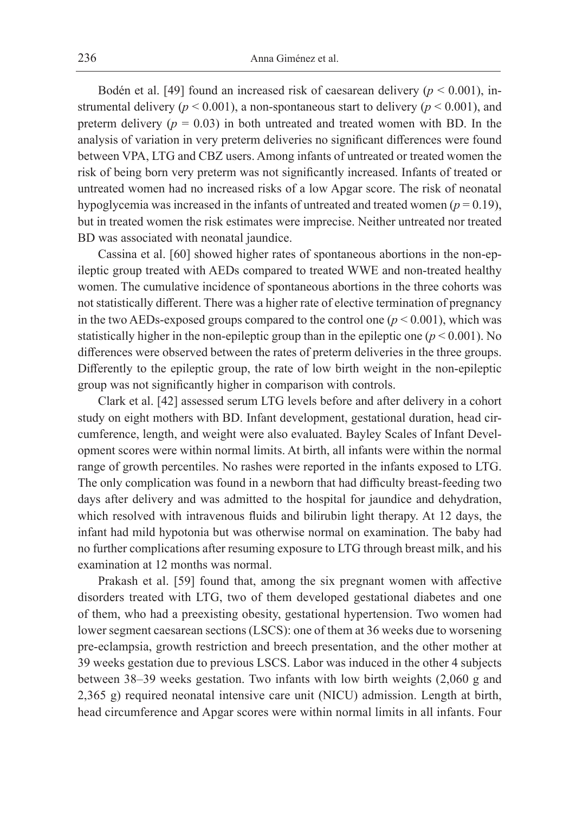Bodén et al. [49] found an increased risk of caesarean delivery (*p* < 0.001), instrumental delivery ( $p < 0.001$ ), a non-spontaneous start to delivery ( $p < 0.001$ ), and preterm delivery  $(p = 0.03)$  in both untreated and treated women with BD. In the analysis of variation in very preterm deliveries no significant differences were found between VPA, LTG and CBZ users. Among infants of untreated or treated women the risk of being born very preterm was not significantly increased. Infants of treated or untreated women had no increased risks of a low Apgar score. The risk of neonatal hypoglycemia was increased in the infants of untreated and treated women  $(p = 0.19)$ , but in treated women the risk estimates were imprecise. Neither untreated nor treated BD was associated with neonatal jaundice.

Cassina et al. [60] showed higher rates of spontaneous abortions in the non-epileptic group treated with AEDs compared to treated WWE and non-treated healthy women. The cumulative incidence of spontaneous abortions in the three cohorts was not statistically different. There was a higher rate of elective termination of pregnancy in the two AEDs-exposed groups compared to the control one  $(p < 0.001)$ , which was statistically higher in the non-epileptic group than in the epileptic one (*p* < 0.001). No differences were observed between the rates of preterm deliveries in the three groups. Differently to the epileptic group, the rate of low birth weight in the non-epileptic group was not significantly higher in comparison with controls.

Clark et al. [42] assessed serum LTG levels before and after delivery in a cohort study on eight mothers with BD. Infant development, gestational duration, head circumference, length, and weight were also evaluated. Bayley Scales of Infant Development scores were within normal limits. At birth, all infants were within the normal range of growth percentiles. No rashes were reported in the infants exposed to LTG. The only complication was found in a newborn that had difficulty breast-feeding two days after delivery and was admitted to the hospital for jaundice and dehydration, which resolved with intravenous fluids and bilirubin light therapy. At 12 days, the infant had mild hypotonia but was otherwise normal on examination. The baby had no further complications after resuming exposure to LTG through breast milk, and his examination at 12 months was normal.

Prakash et al. [59] found that, among the six pregnant women with affective disorders treated with LTG, two of them developed gestational diabetes and one of them, who had a preexisting obesity, gestational hypertension. Two women had lower segment caesarean sections (LSCS): one of them at 36 weeks due to worsening pre-eclampsia, growth restriction and breech presentation, and the other mother at 39 weeks gestation due to previous LSCS. Labor was induced in the other 4 subjects between 38–39 weeks gestation. Two infants with low birth weights (2,060 g and 2,365 g) required neonatal intensive care unit (NICU) admission. Length at birth, head circumference and Apgar scores were within normal limits in all infants. Four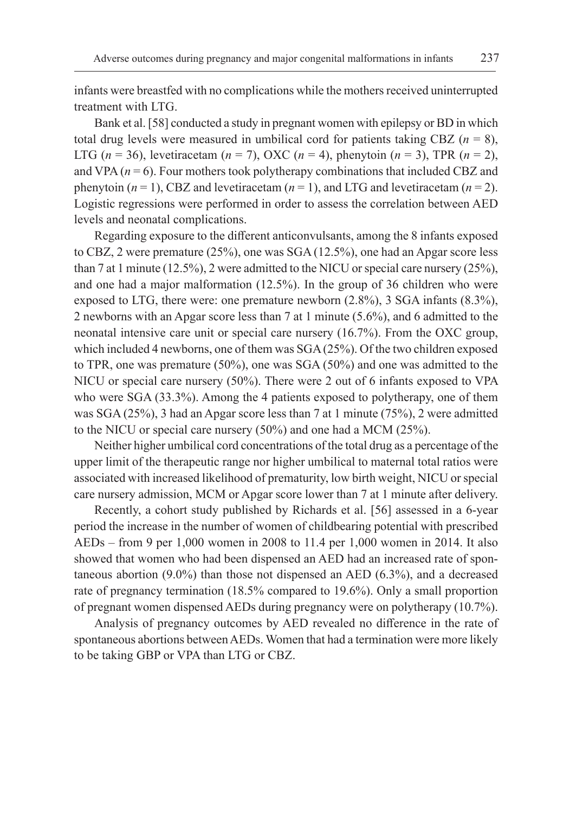infants were breastfed with no complications while the mothers received uninterrupted treatment with LTG.

Bank et al. [58] conducted a study in pregnant women with epilepsy or BD in which total drug levels were measured in umbilical cord for patients taking CBZ  $(n = 8)$ , LTG ( $n = 36$ ), levetiracetam ( $n = 7$ ), OXC ( $n = 4$ ), phenytoin ( $n = 3$ ), TPR ( $n = 2$ ), and VPA  $(n = 6)$ . Four mothers took polytherapy combinations that included CBZ and phenytoin  $(n = 1)$ , CBZ and levetiracetam  $(n = 1)$ , and LTG and levetiracetam  $(n = 2)$ . Logistic regressions were performed in order to assess the correlation between AED levels and neonatal complications.

Regarding exposure to the different anticonvulsants, among the 8 infants exposed to CBZ, 2 were premature (25%), one was SGA (12.5%), one had an Apgar score less than 7 at 1 minute (12.5%), 2 were admitted to the NICU or special care nursery (25%), and one had a major malformation (12.5%). In the group of 36 children who were exposed to LTG, there were: one premature newborn (2.8%), 3 SGA infants (8.3%), 2 newborns with an Apgar score less than 7 at 1 minute (5.6%), and 6 admitted to the neonatal intensive care unit or special care nursery (16.7%). From the OXC group, which included 4 newborns, one of them was SGA (25%). Of the two children exposed to TPR, one was premature (50%), one was SGA (50%) and one was admitted to the NICU or special care nursery (50%). There were 2 out of 6 infants exposed to VPA who were SGA (33.3%). Among the 4 patients exposed to polytherapy, one of them was SGA (25%), 3 had an Apgar score less than 7 at 1 minute (75%), 2 were admitted to the NICU or special care nursery (50%) and one had a MCM (25%).

Neither higher umbilical cord concentrations of the total drug as a percentage of the upper limit of the therapeutic range nor higher umbilical to maternal total ratios were associated with increased likelihood of prematurity, low birth weight, NICU or special care nursery admission, MCM or Apgar score lower than 7 at 1 minute after delivery.

Recently, a cohort study published by Richards et al. [56] assessed in a 6-year period the increase in the number of women of childbearing potential with prescribed AEDs – from 9 per 1,000 women in 2008 to 11.4 per 1,000 women in 2014. It also showed that women who had been dispensed an AED had an increased rate of spontaneous abortion (9.0%) than those not dispensed an AED (6.3%), and a decreased rate of pregnancy termination (18.5% compared to 19.6%). Only a small proportion of pregnant women dispensed AEDs during pregnancy were on polytherapy (10.7%).

Analysis of pregnancy outcomes by AED revealed no difference in the rate of spontaneous abortions between AEDs. Women that had a termination were more likely to be taking GBP or VPA than LTG or CBZ.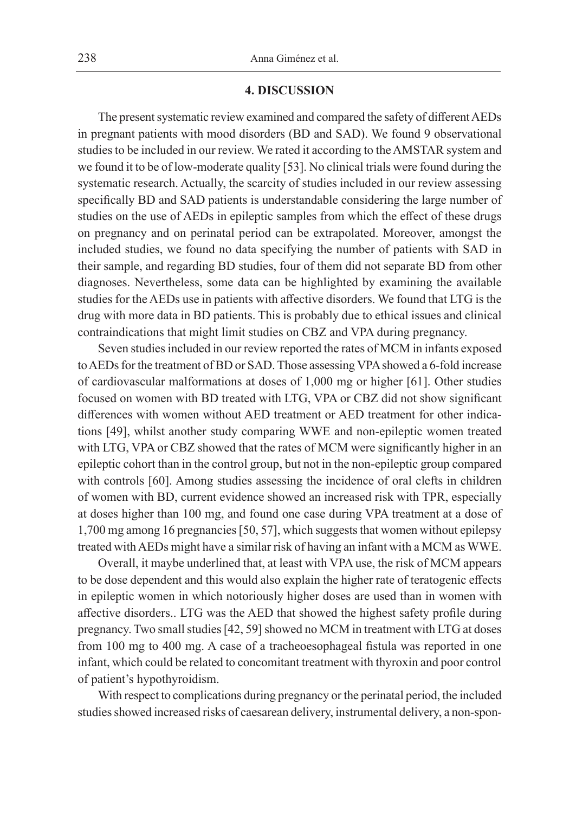#### **4. DISCUSSION**

The present systematic review examined and compared the safety of different AEDs in pregnant patients with mood disorders (BD and SAD). We found 9 observational studies to be included in our review. We rated it according to the AMSTAR system and we found it to be of low-moderate quality [53]. No clinical trials were found during the systematic research. Actually, the scarcity of studies included in our review assessing specifically BD and SAD patients is understandable considering the large number of studies on the use of AEDs in epileptic samples from which the effect of these drugs on pregnancy and on perinatal period can be extrapolated. Moreover, amongst the included studies, we found no data specifying the number of patients with SAD in their sample, and regarding BD studies, four of them did not separate BD from other diagnoses. Nevertheless, some data can be highlighted by examining the available studies for the AEDs use in patients with affective disorders. We found that LTG is the drug with more data in BD patients. This is probably due to ethical issues and clinical contraindications that might limit studies on CBZ and VPA during pregnancy.

Seven studies included in our review reported the rates of MCM in infants exposed to AEDs for the treatment of BD or SAD. Those assessing VPA showed a 6-fold increase of cardiovascular malformations at doses of 1,000 mg or higher [61]. Other studies focused on women with BD treated with LTG, VPA or CBZ did not show significant differences with women without AED treatment or AED treatment for other indications [49], whilst another study comparing WWE and non-epileptic women treated with LTG, VPA or CBZ showed that the rates of MCM were significantly higher in an epileptic cohort than in the control group, but not in the non-epileptic group compared with controls [60]. Among studies assessing the incidence of oral clefts in children of women with BD, current evidence showed an increased risk with TPR, especially at doses higher than 100 mg, and found one case during VPA treatment at a dose of 1,700 mg among 16 pregnancies [50, 57], which suggests that women without epilepsy treated with AEDs might have a similar risk of having an infant with a MCM as WWE.

Overall, it maybe underlined that, at least with VPA use, the risk of MCM appears to be dose dependent and this would also explain the higher rate of teratogenic effects in epileptic women in which notoriously higher doses are used than in women with affective disorders.. LTG was the AED that showed the highest safety profile during pregnancy. Two small studies [42, 59] showed no MCM in treatment with LTG at doses from 100 mg to 400 mg. A case of a tracheoesophageal fistula was reported in one infant, which could be related to concomitant treatment with thyroxin and poor control of patient's hypothyroidism.

With respect to complications during pregnancy or the perinatal period, the included studies showed increased risks of caesarean delivery, instrumental delivery, a non-spon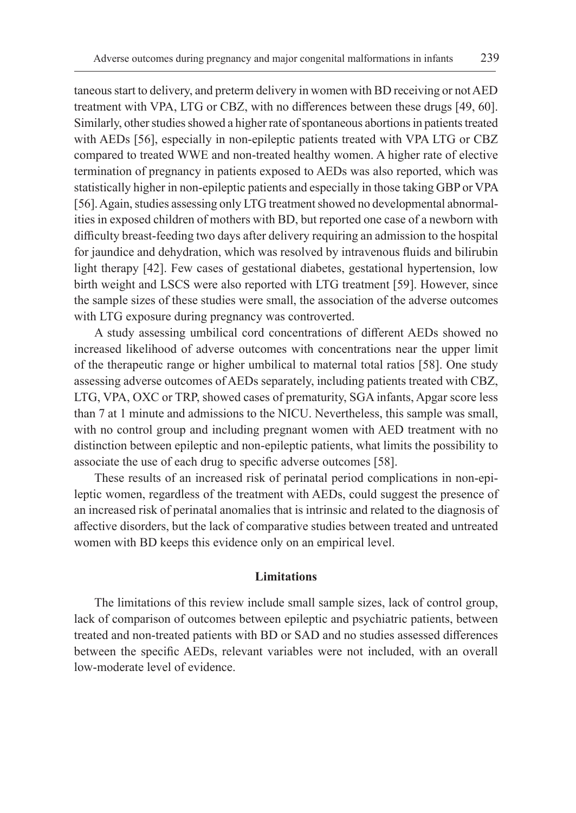taneous start to delivery, and preterm delivery in women with BD receiving or not AED treatment with VPA, LTG or CBZ, with no differences between these drugs [49, 60]. Similarly, other studies showed a higher rate of spontaneous abortions in patients treated with AEDs [56], especially in non-epileptic patients treated with VPA LTG or CBZ compared to treated WWE and non-treated healthy women. A higher rate of elective termination of pregnancy in patients exposed to AEDs was also reported, which was statistically higher in non-epileptic patients and especially in those taking GBP or VPA [56]. Again, studies assessing only LTG treatment showed no developmental abnormalities in exposed children of mothers with BD, but reported one case of a newborn with difficulty breast-feeding two days after delivery requiring an admission to the hospital for jaundice and dehydration, which was resolved by intravenous fluids and bilirubin light therapy [42]. Few cases of gestational diabetes, gestational hypertension, low birth weight and LSCS were also reported with LTG treatment [59]. However, since the sample sizes of these studies were small, the association of the adverse outcomes with LTG exposure during pregnancy was controverted.

A study assessing umbilical cord concentrations of different AEDs showed no increased likelihood of adverse outcomes with concentrations near the upper limit of the therapeutic range or higher umbilical to maternal total ratios [58]. One study assessing adverse outcomes of AEDs separately, including patients treated with CBZ, LTG, VPA, OXC or TRP, showed cases of prematurity, SGA infants, Apgar score less than 7 at 1 minute and admissions to the NICU. Nevertheless, this sample was small, with no control group and including pregnant women with AED treatment with no distinction between epileptic and non-epileptic patients, what limits the possibility to associate the use of each drug to specific adverse outcomes [58].

These results of an increased risk of perinatal period complications in non-epileptic women, regardless of the treatment with AEDs, could suggest the presence of an increased risk of perinatal anomalies that is intrinsic and related to the diagnosis of affective disorders, but the lack of comparative studies between treated and untreated women with BD keeps this evidence only on an empirical level.

# **Limitations**

The limitations of this review include small sample sizes, lack of control group, lack of comparison of outcomes between epileptic and psychiatric patients, between treated and non-treated patients with BD or SAD and no studies assessed differences between the specific AEDs, relevant variables were not included, with an overall low-moderate level of evidence.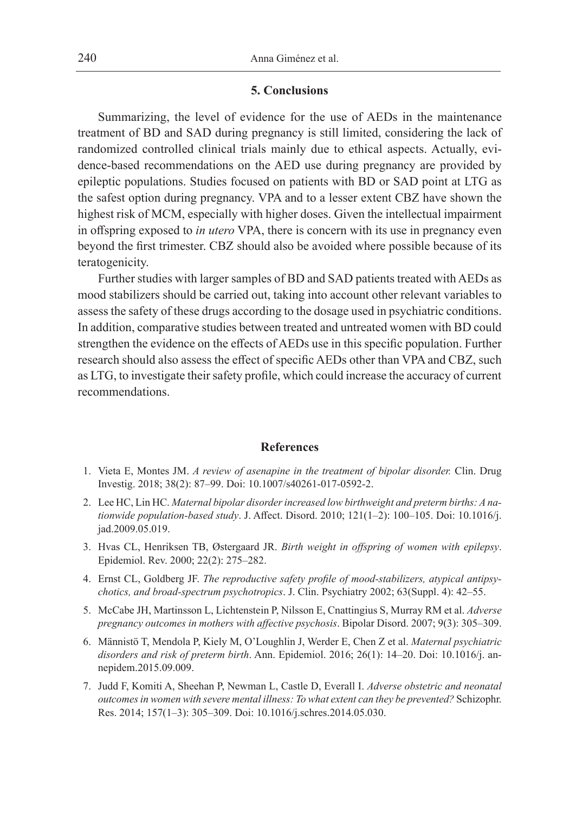#### **5. Conclusions**

Summarizing, the level of evidence for the use of AEDs in the maintenance treatment of BD and SAD during pregnancy is still limited, considering the lack of randomized controlled clinical trials mainly due to ethical aspects. Actually, evidence-based recommendations on the AED use during pregnancy are provided by epileptic populations. Studies focused on patients with BD or SAD point at LTG as the safest option during pregnancy. VPA and to a lesser extent CBZ have shown the highest risk of MCM, especially with higher doses. Given the intellectual impairment in offspring exposed to *in utero* VPA, there is concern with its use in pregnancy even beyond the first trimester. CBZ should also be avoided where possible because of its teratogenicity.

Further studies with larger samples of BD and SAD patients treated with AEDs as mood stabilizers should be carried out, taking into account other relevant variables to assess the safety of these drugs according to the dosage used in psychiatric conditions. In addition, comparative studies between treated and untreated women with BD could strengthen the evidence on the effects of AEDs use in this specific population. Further research should also assess the effect of specific AEDs other than VPA and CBZ, such as LTG, to investigate their safety profile, which could increase the accuracy of current recommendations.

#### **References**

- 1. Vieta E, Montes JM. *A review of asenapine in the treatment of bipolar disorder.* Clin. Drug Investig. 2018; 38(2): 87–99. Doi: 10.1007/s40261-017-0592-2.
- 2. Lee HC, Lin HC. *Maternal bipolar disorder increased low birthweight and preterm births: A nationwide population-based study*. J. Affect. Disord. 2010; 121(1–2): 100–105. Doi: 10.1016/j. jad.2009.05.019.
- 3. Hvas CL, Henriksen TB, Østergaard JR. *Birth weight in offspring of women with epilepsy*. Epidemiol. Rev. 2000; 22(2): 275–282.
- 4. Ernst CL, Goldberg JF. *The reproductive safety profile of mood-stabilizers, atypical antipsychotics, and broad-spectrum psychotropics*. J. Clin. Psychiatry 2002; 63(Suppl. 4): 42–55.
- 5. McCabe JH, Martinsson L, Lichtenstein P, Nilsson E, Cnattingius S, Murray RM et al. *Adverse pregnancy outcomes in mothers with affective psychosis*. Bipolar Disord. 2007; 9(3): 305–309.
- 6. Männistö T, Mendola P, Kiely M, O'Loughlin J, Werder E, Chen Z et al. *Maternal psychiatric disorders and risk of preterm birth*. Ann. Epidemiol. 2016; 26(1): 14–20. Doi: 10.1016/j. annepidem.2015.09.009.
- 7. Judd F, Komiti A, Sheehan P, Newman L, Castle D, Everall I. *Adverse obstetric and neonatal outcomes in women with severe mental illness: To what extent can they be prevented?* Schizophr. Res. 2014; 157(1–3): 305–309. Doi: 10.1016/j.schres.2014.05.030.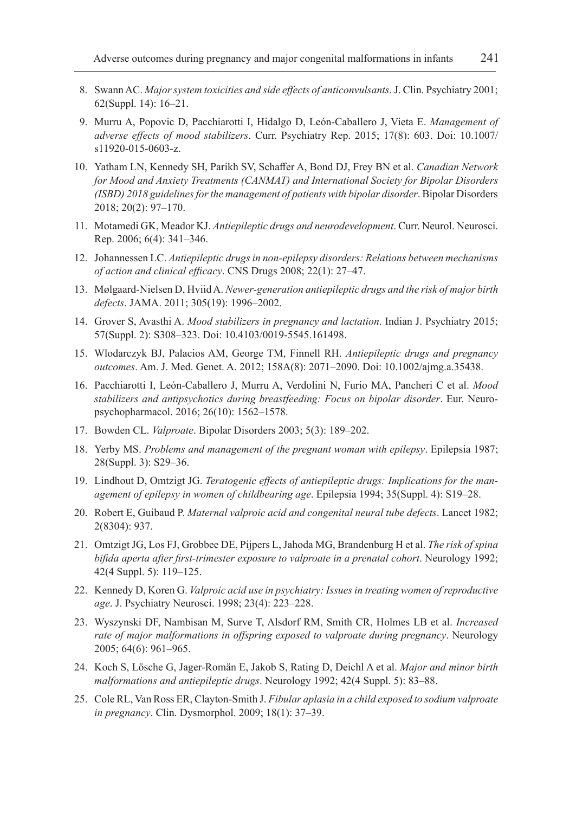- 8. Swann AC. *Major system toxicities and side effects of anticonvulsants*. J. Clin. Psychiatry 2001; 62(Suppl. 14): 16–21.
- 9. Murru A, Popovic D, Pacchiarotti I, Hidalgo D, León-Caballero J, Vieta E. *Management of adverse effects of mood stabilizers*. Curr. Psychiatry Rep. 2015; 17(8): 603. Doi: 10.1007/ s11920-015-0603-z.
- 10. Yatham LN, Kennedy SH, Parikh SV, Schaffer A, Bond DJ, Frey BN et al. *Canadian Network for Mood and Anxiety Treatments (CANMAT) and International Society for Bipolar Disorders (ISBD) 2018 guidelines for the management of patients with bipolar disorder*. Bipolar Disorders 2018; 20(2): 97–170.
- 11. Motamedi GK, Meador KJ. *Antiepileptic drugs and neurodevelopment*. Curr. Neurol. Neurosci. Rep. 2006; 6(4): 341–346.
- 12. Johannessen LC. *Antiepileptic drugs in non-epilepsy disorders: Relations between mechanisms of action and clinical efficacy*. CNS Drugs 2008; 22(1): 27–47.
- 13. Mølgaard-Nielsen D, Hviid A. *Newer-generation antiepileptic drugs and the risk of major birth defects*. JAMA. 2011; 305(19): 1996–2002.
- 14. Grover S, Avasthi A. *Mood stabilizers in pregnancy and lactation*. Indian J. Psychiatry 2015; 57(Suppl. 2): S308–323. Doi: 10.4103/0019-5545.161498.
- 15. Wlodarczyk BJ, Palacios AM, George TM, Finnell RH. *Antiepileptic drugs and pregnancy outcomes*. Am. J. Med. Genet. A. 2012; 158A(8): 2071–2090. Doi: 10.1002/ajmg.a.35438.
- 16. Pacchiarotti I, León-Caballero J, Murru A, Verdolini N, Furio MA, Pancheri C et al. *Mood stabilizers and antipsychotics during breastfeeding: Focus on bipolar disorder*. Eur. Neuropsychopharmacol. 2016; 26(10): 1562–1578.
- 17. Bowden CL. *Valproate*. Bipolar Disorders 2003; 5(3): 189–202.
- 18. Yerby MS. *Problems and management of the pregnant woman with epilepsy*. Epilepsia 1987; 28(Suppl. 3): S29–36.
- 19. Lindhout D, Omtzigt JG. *Teratogenic effects of antiepileptic drugs: Implications for the management of epilepsy in women of childbearing age*. Epilepsia 1994; 35(Suppl. 4): S19–28.
- 20. Robert E, Guibaud P. *Maternal valproic acid and congenital neural tube defects*. Lancet 1982; 2(8304): 937.
- 21. Omtzigt JG, Los FJ, Grobbee DE, Pijpers L, Jahoda MG, Brandenburg H et al. *The risk of spina bifida aperta after first-trimester exposure to valproate in a prenatal cohort*. Neurology 1992; 42(4 Suppl. 5): 119–125.
- 22. Kennedy D, Koren G. *Valproic acid use in psychiatry: Issues in treating women of reproductive age*. J. Psychiatry Neurosci. 1998; 23(4): 223–228.
- 23. Wyszynski DF, Nambisan M, Surve T, Alsdorf RM, Smith CR, Holmes LB et al. *Increased rate of major malformations in offspring exposed to valproate during pregnancy*. Neurology 2005; 64(6): 961–965.
- 24. Koch S, Lösche G, Jager-Romän E, Jakob S, Rating D, Deichl A et al. *Major and minor birth malformations and antiepileptic drugs*. Neurology 1992; 42(4 Suppl. 5): 83–88.
- 25. Cole RL, Van Ross ER, Clayton-Smith J. *Fibular aplasia in a child exposed to sodium valproate in pregnancy*. Clin. Dysmorphol. 2009; 18(1): 37–39.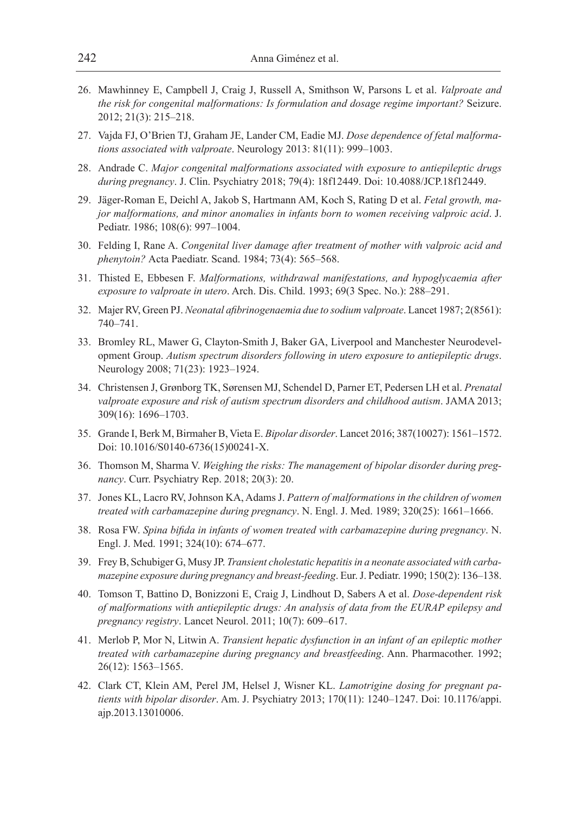- 26. Mawhinney E, Campbell J, Craig J, Russell A, Smithson W, Parsons L et al. *Valproate and the risk for congenital malformations: Is formulation and dosage regime important?* Seizure. 2012; 21(3): 215–218.
- 27. Vajda FJ, O'Brien TJ, Graham JE, Lander CM, Eadie MJ. *Dose dependence of fetal malformations associated with valproate*. Neurology 2013: 81(11): 999–1003.
- 28. Andrade C. *Major congenital malformations associated with exposure to antiepileptic drugs during pregnancy*. J. Clin. Psychiatry 2018; 79(4): 18f12449. Doi: 10.4088/JCP.18f12449.
- 29. Jäger-Roman E, Deichl A, Jakob S, Hartmann AM, Koch S, Rating D et al. *Fetal growth, major malformations, and minor anomalies in infants born to women receiving valproic acid*. J. Pediatr. 1986; 108(6): 997–1004.
- 30. Felding I, Rane A. *Congenital liver damage after treatment of mother with valproic acid and phenytoin?* Acta Paediatr. Scand. 1984; 73(4): 565–568.
- 31. Thisted E, Ebbesen F. *Malformations, withdrawal manifestations, and hypoglycaemia after exposure to valproate in utero*. Arch. Dis. Child. 1993; 69(3 Spec. No.): 288–291.
- 32. Majer RV, Green PJ. *Neonatal afibrinogenaemia due to sodium valproate*. Lancet 1987; 2(8561): 740–741.
- 33. Bromley RL, Mawer G, Clayton-Smith J, Baker GA, Liverpool and Manchester Neurodevelopment Group. *Autism spectrum disorders following in utero exposure to antiepileptic drugs*. Neurology 2008; 71(23): 1923–1924.
- 34. Christensen J, Grønborg TK, Sørensen MJ, Schendel D, Parner ET, Pedersen LH et al. *Prenatal valproate exposure and risk of autism spectrum disorders and childhood autism*. JAMA 2013; 309(16): 1696–1703.
- 35. Grande I, Berk M, Birmaher B, Vieta E. *Bipolar disorder*. Lancet 2016; 387(10027): 1561–1572. Doi: 10.1016/S0140-6736(15)00241-X.
- 36. Thomson M, Sharma V. *Weighing the risks: The management of bipolar disorder during pregnancy*. Curr. Psychiatry Rep. 2018; 20(3): 20.
- 37. Jones KL, Lacro RV, Johnson KA, Adams J. *Pattern of malformations in the children of women treated with carbamazepine during pregnancy*. N. Engl. J. Med. 1989; 320(25): 1661–1666.
- 38. Rosa FW. *Spina bifida in infants of women treated with carbamazepine during pregnancy*. N. Engl. J. Med. 1991; 324(10): 674–677.
- 39. Frey B, Schubiger G, Musy JP. *Transient cholestatic hepatitis in a neonate associated with carbamazepine exposure during pregnancy and breast-feeding*. Eur. J. Pediatr. 1990; 150(2): 136–138.
- 40. Tomson T, Battino D, Bonizzoni E, Craig J, Lindhout D, Sabers A et al. *Dose-dependent risk of malformations with antiepileptic drugs: An analysis of data from the EURAP epilepsy and pregnancy registry*. Lancet Neurol. 2011; 10(7): 609–617.
- 41. Merlob P, Mor N, Litwin A. *Transient hepatic dysfunction in an infant of an epileptic mother treated with carbamazepine during pregnancy and breastfeeding*. Ann. Pharmacother. 1992; 26(12): 1563–1565.
- 42. Clark CT, Klein AM, Perel JM, Helsel J, Wisner KL. *Lamotrigine dosing for pregnant patients with bipolar disorder*. Am. J. Psychiatry 2013; 170(11): 1240–1247. Doi: 10.1176/appi. ajp.2013.13010006.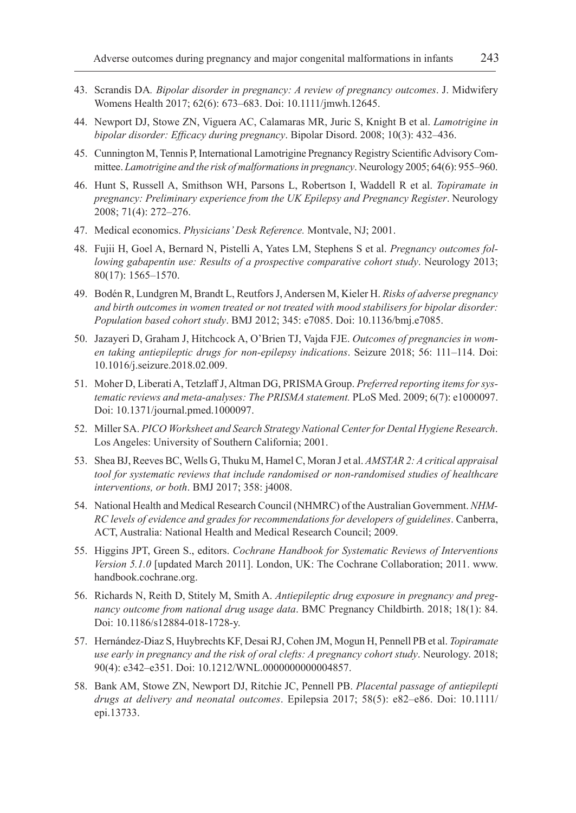- 43. Scrandis DA*. Bipolar disorder in pregnancy: A review of pregnancy outcomes*. J. Midwifery Womens Health 2017; 62(6): 673–683. Doi: 10.1111/jmwh.12645.
- 44. Newport DJ, Stowe ZN, Viguera AC, Calamaras MR, Juric S, Knight B et al. *Lamotrigine in bipolar disorder: Efficacy during pregnancy*. Bipolar Disord. 2008; 10(3): 432–436.
- 45. Cunnington M, Tennis P, International Lamotrigine Pregnancy Registry Scientific Advisory Committee. *Lamotrigine and the risk of malformations in pregnancy*. Neurology 2005; 64(6): 955–960.
- 46. Hunt S, Russell A, Smithson WH, Parsons L, Robertson I, Waddell R et al. *Topiramate in pregnancy: Preliminary experience from the UK Epilepsy and Pregnancy Register*. Neurology 2008; 71(4): 272–276.
- 47. Medical economics. *Physicians' Desk Reference.* Montvale, NJ; 2001.
- 48. Fujii H, Goel A, Bernard N, Pistelli A, Yates LM, Stephens S et al. *Pregnancy outcomes following gabapentin use: Results of a prospective comparative cohort study*. Neurology 2013; 80(17): 1565–1570.
- 49. Bodén R, Lundgren M, Brandt L, Reutfors J, Andersen M, Kieler H. *Risks of adverse pregnancy and birth outcomes in women treated or not treated with mood stabilisers for bipolar disorder: Population based cohort study*. BMJ 2012; 345: e7085. Doi: 10.1136/bmj.e7085.
- 50. Jazayeri D, Graham J, Hitchcock A, O'Brien TJ, Vajda FJE. *Outcomes of pregnancies in women taking antiepileptic drugs for non-epilepsy indications*. Seizure 2018; 56: 111–114. Doi: 10.1016/j.seizure.2018.02.009.
- 51. Moher D, Liberati A, Tetzlaff J, Altman DG, PRISMA Group. *Preferred reporting items for systematic reviews and meta-analyses: The PRISMA statement.* PLoS Med. 2009; 6(7): e1000097. Doi: 10.1371/journal.pmed.1000097.
- 52. Miller SA. *PICO Worksheet and Search Strategy National Center for Dental Hygiene Research*. Los Angeles: University of Southern California; 2001.
- 53. Shea BJ, Reeves BC, Wells G, Thuku M, Hamel C, Moran J et al. *AMSTAR 2: A critical appraisal tool for systematic reviews that include randomised or non-randomised studies of healthcare interventions, or both*. BMJ 2017; 358: j4008.
- 54. National Health and Medical Research Council (NHMRC) of the Australian Government. *NHM-RC levels of evidence and grades for recommendations for developers of guidelines*. Canberra, ACT, Australia: National Health and Medical Research Council; 2009.
- 55. Higgins JPT, Green S., editors. *Cochrane Handbook for Systematic Reviews of Interventions Version 5.1.0* [updated March 2011]. London, UK: The Cochrane Collaboration; 2011. www. handbook.cochrane.org.
- 56. Richards N, Reith D, Stitely M, Smith A. *Antiepileptic drug exposure in pregnancy and pregnancy outcome from national drug usage data*. BMC Pregnancy Childbirth. 2018; 18(1): 84. Doi: 10.1186/s12884-018-1728-y.
- 57. Hernández-Diaz S, Huybrechts KF, Desai RJ, Cohen JM, Mogun H, Pennell PB et al. *Topiramate use early in pregnancy and the risk of oral clefts: A pregnancy cohort study*. Neurology. 2018; 90(4): e342–e351. Doi: 10.1212/WNL.0000000000004857.
- 58. Bank AM, Stowe ZN, Newport DJ, Ritchie JC, Pennell PB. *Placental passage of antiepilepti drugs at delivery and neonatal outcomes*. Epilepsia 2017; 58(5): e82–e86. Doi: 10.1111/ epi.13733.